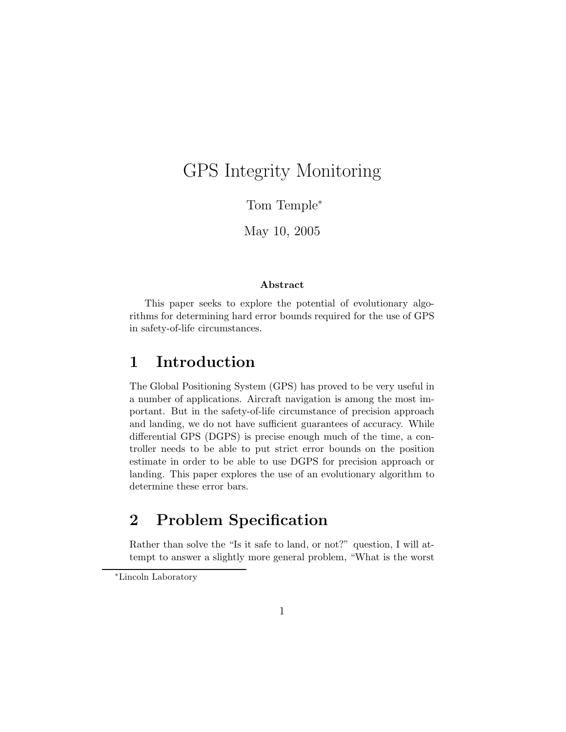# GPS Integrity Monitoring

Tom Temple<sup>∗</sup>

May 10, 2005

#### Abstract

This paper seeks to explore the potential of evolutionary algorithms for determining hard error bounds required for the use of GPS in safety-of-life circumstances.

### 1 Introduction

The Global Positioning System (GPS) has proved to be very useful in a number of applications. Aircraft navigation is among the most important. But in the safety-of-life circumstance of precision approach and landing, we do not have sufficient guarantees of accuracy. While differential GPS (DGPS) is precise enough much of the time, a controller needs to be able to put strict error bounds on the position estimate in order to be able to use DGPS for precision approach or landing. This paper explores the use of an evolutionary algorithm to determine these error bars.

# 2 Problem Specification

Rather than solve the "Is it safe to land, or not?" question, I will attempt to answer a slightly more general problem, "What is the worst

<sup>∗</sup>Lincoln Laboratory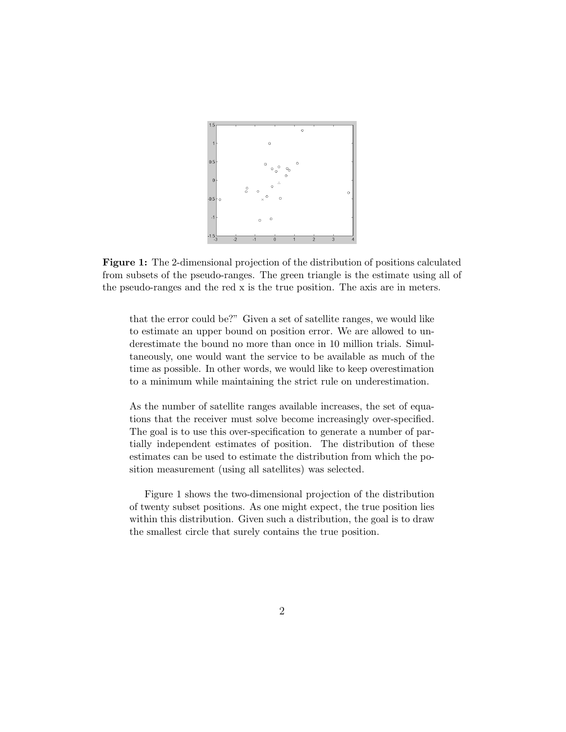

Figure 1: The 2-dimensional projection of the distribution of positions calculated from subsets of the pseudo-ranges. The green triangle is the estimate using all of the pseudo-ranges and the red x is the true position. The axis are in meters.

that the error could be?" Given a set of satellite ranges, we would like to estimate an upper bound on position error. We are allowed to underestimate the bound no more than once in 10 million trials. Simultaneously, one would want the service to be available as much of the time as possible. In other words, we would like to keep overestimation to a minimum while maintaining the strict rule on underestimation.

As the number of satellite ranges available increases, the set of equations that the receiver must solve become increasingly over-specified. The goal is to use this over-specification to generate a number of partially independent estimates of position. The distribution of these estimates can be used to estimate the distribution from which the position measurement (using all satellites) was selected.

Figure 1 shows the two-dimensional projection of the distribution of twenty subset positions. As one might expect, the true position lies within this distribution. Given such a distribution, the goal is to draw the smallest circle that surely contains the true position.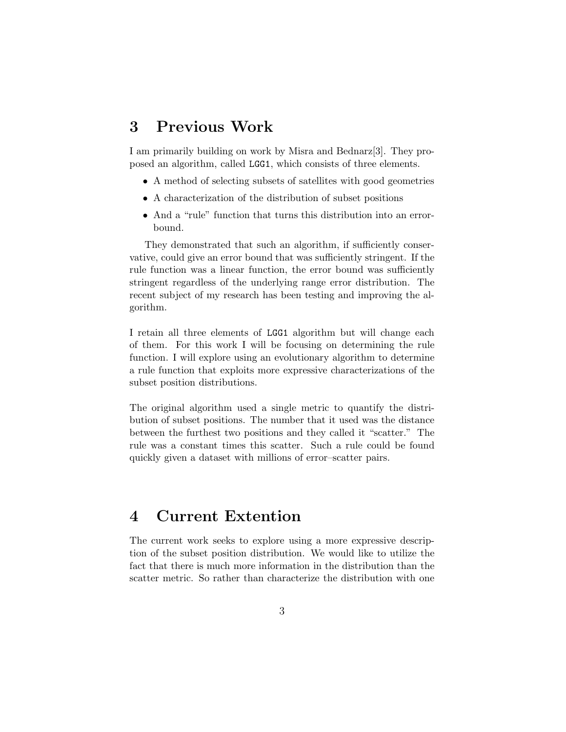# 3 Previous Work

I am primarily building on work by Misra and Bednarz[3]. They proposed an algorithm, called LGG1, which consists of three elements.

- A method of selecting subsets of satellites with good geometries
- A characterization of the distribution of subset positions
- And a "rule" function that turns this distribution into an errorbound.

They demonstrated that such an algorithm, if sufficiently conservative, could give an error bound that was sufficiently stringent. If the rule function was a linear function, the error bound was sufficiently stringent regardless of the underlying range error distribution. The recent subject of my research has been testing and improving the algorithm.

I retain all three elements of LGG1 algorithm but will change each of them. For this work I will be focusing on determining the rule function. I will explore using an evolutionary algorithm to determine a rule function that exploits more expressive characterizations of the subset position distributions.

The original algorithm used a single metric to quantify the distribution of subset positions. The number that it used was the distance between the furthest two positions and they called it "scatter." The rule was a constant times this scatter. Such a rule could be found quickly given a dataset with millions of error–scatter pairs.

# 4 Current Extention

The current work seeks to explore using a more expressive description of the subset position distribution. We would like to utilize the fact that there is much more information in the distribution than the scatter metric. So rather than characterize the distribution with one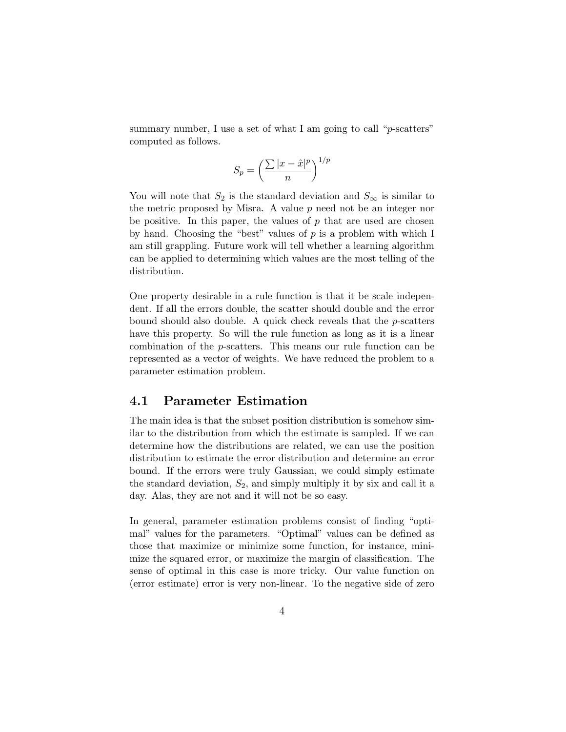summary number, I use a set of what I am going to call "*p*-scatters" computed as follows.

$$
S_p = \left(\frac{\sum |x - \hat{x}|^p}{n}\right)^{1/p}
$$

You will note that  $S_2$  is the standard deviation and  $S_{\infty}$  is similar to the metric proposed by Misra. A value  $p$  need not be an integer nor be positive. In this paper, the values of  $p$  that are used are chosen by hand. Choosing the "best" values of  $p$  is a problem with which I am still grappling. Future work will tell whether a learning algorithm can be applied to determining which values are the most telling of the distribution.

One property desirable in a rule function is that it be scale independent. If all the errors double, the scatter should double and the error bound should also double. A quick check reveals that the  $p$ -scatters have this property. So will the rule function as long as it is a linear combination of the p-scatters. This means our rule function can be represented as a vector of weights. We have reduced the problem to a parameter estimation problem.

#### 4.1 Parameter Estimation

The main idea is that the subset position distribution is somehow similar to the distribution from which the estimate is sampled. If we can determine how the distributions are related, we can use the position distribution to estimate the error distribution and determine an error bound. If the errors were truly Gaussian, we could simply estimate the standard deviation,  $S_2$ , and simply multiply it by six and call it a day. Alas, they are not and it will not be so easy.

In general, parameter estimation problems consist of finding "optimal" values for the parameters. "Optimal" values can be defined as those that maximize or minimize some function, for instance, minimize the squared error, or maximize the margin of classification. The sense of optimal in this case is more tricky. Our value function on (error estimate) error is very non-linear. To the negative side of zero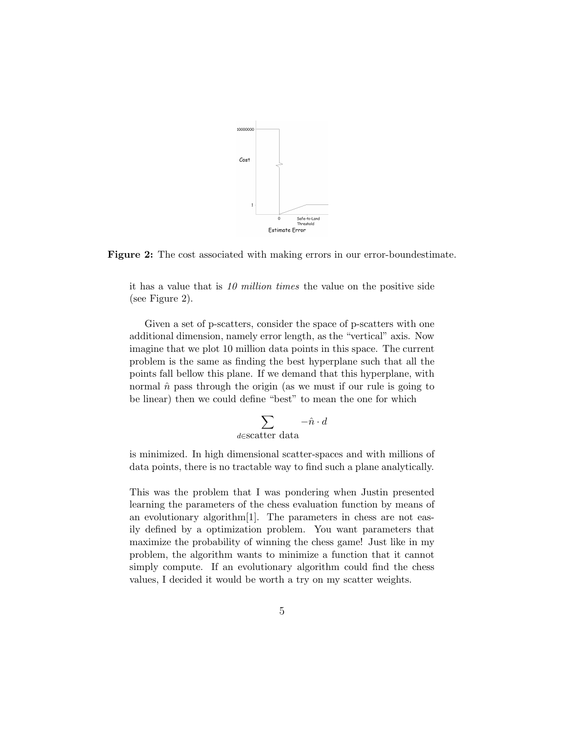

Figure 2: The cost associated with making errors in our error-boundestimate.

it has a value that is 10 million times the value on the positive side (see Figure 2).

Given a set of p-scatters, consider the space of p-scatters with one additional dimension, namely error length, as the "vertical" axis. Now imagine that we plot 10 million data points in this space. The current problem is the same as finding the best hyperplane such that all the points fall bellow this plane. If we demand that this hyperplane, with normal  $\hat{n}$  pass through the origin (as we must if our rule is going to be linear) then we could define "best" to mean the one for which

$$
\sum_{d \in \text{scatter data}} -\hat{n} \cdot d
$$

is minimized. In high dimensional scatter-spaces and with millions of data points, there is no tractable way to find such a plane analytically.

This was the problem that I was pondering when Justin presented learning the parameters of the chess evaluation function by means of an evolutionary algorithm[1]. The parameters in chess are not easily defined by a optimization problem. You want parameters that maximize the probability of winning the chess game! Just like in my problem, the algorithm wants to minimize a function that it cannot simply compute. If an evolutionary algorithm could find the chess values, I decided it would be worth a try on my scatter weights.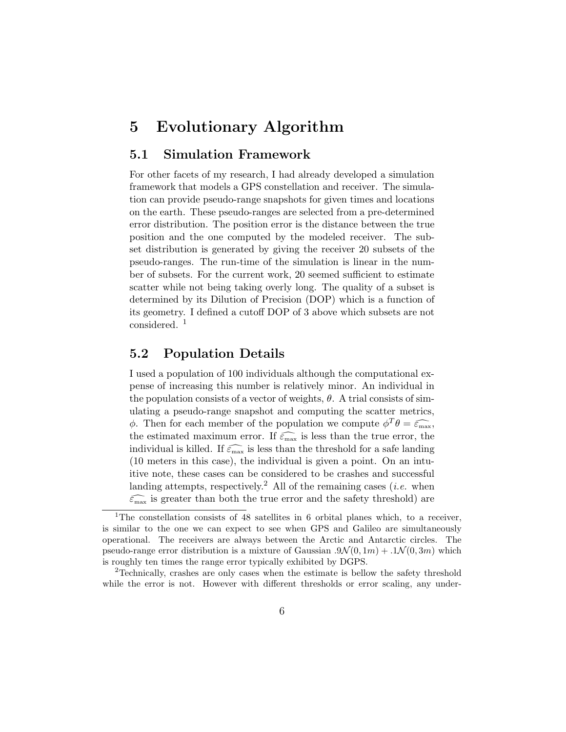### 5 Evolutionary Algorithm

#### 5.1 Simulation Framework

For other facets of my research, I had already developed a simulation framework that models a GPS constellation and receiver. The simulation can provide pseudo-range snapshots for given times and locations on the earth. These pseudo-ranges are selected from a pre-determined error distribution. The position error is the distance between the true position and the one computed by the modeled receiver. The subset distribution is generated by giving the receiver 20 subsets of the pseudo-ranges. The run-time of the simulation is linear in the number of subsets. For the current work, 20 seemed sufficient to estimate scatter while not being taking overly long. The quality of a subset is determined by its Dilution of Precision (DOP) which is a function of its geometry. I defined a cutoff DOP of 3 above which subsets are not considered. <sup>1</sup>

### 5.2 Population Details

I used a population of 100 individuals although the computational expense of increasing this number is relatively minor. An individual in the population consists of a vector of weights,  $\theta$ . A trial consists of simulating a pseudo-range snapshot and computing the scatter metrics,  $φ$ . Then for each member of the population we compute  $φ^Tθ = \widehat{\epsilon_{\text{max}}}$ , the estimated maximum error. If  $\widehat{\epsilon_{\text{max}}}$  is less than the true error, the individual is killed. If  $\widehat{\epsilon_{\text{max}}}$  is less than the threshold for a safe landing (10 meters in this case), the individual is given a point. On an intuitive note, these cases can be considered to be crashes and successful landing attempts, respectively.<sup>2</sup> All of the remaining cases (*i.e.* when  $\widehat{\varepsilon_{\text{max}}}$  is greater than both the true error and the safety threshold) are

<sup>&</sup>lt;sup>1</sup>The constellation consists of 48 satellites in 6 orbital planes which, to a receiver, is similar to the one we can expect to see when GPS and Galileo are simultaneously operational. The receivers are always between the Arctic and Antarctic circles. The pseudo-range error distribution is a mixture of Gaussian  $.9\mathcal{N}(0, 1m) + .1\mathcal{N}(0, 3m)$  which is roughly ten times the range error typically exhibited by DGPS.

<sup>2</sup>Technically, crashes are only cases when the estimate is bellow the safety threshold while the error is not. However with different thresholds or error scaling, any under-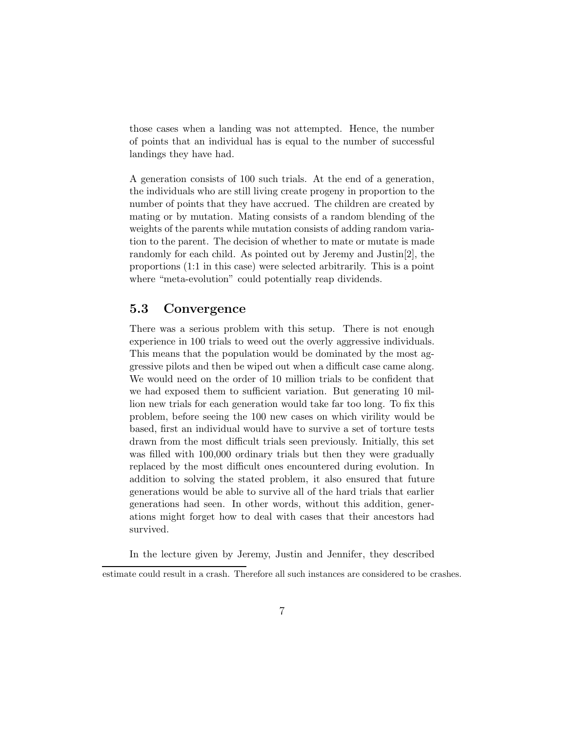those cases when a landing was not attempted. Hence, the number of points that an individual has is equal to the number of successful landings they have had.

A generation consists of 100 such trials. At the end of a generation, the individuals who are still living create progeny in proportion to the number of points that they have accrued. The children are created by mating or by mutation. Mating consists of a random blending of the weights of the parents while mutation consists of adding random variation to the parent. The decision of whether to mate or mutate is made randomly for each child. As pointed out by Jeremy and Justin[2], the proportions (1:1 in this case) were selected arbitrarily. This is a point where "meta-evolution" could potentially reap dividends.

#### 5.3 Convergence

There was a serious problem with this setup. There is not enough experience in 100 trials to weed out the overly aggressive individuals. This means that the population would be dominated by the most aggressive pilots and then be wiped out when a difficult case came along. We would need on the order of 10 million trials to be confident that we had exposed them to sufficient variation. But generating 10 million new trials for each generation would take far too long. To fix this problem, before seeing the 100 new cases on which virility would be based, first an individual would have to survive a set of torture tests drawn from the most difficult trials seen previously. Initially, this set was filled with 100,000 ordinary trials but then they were gradually replaced by the most difficult ones encountered during evolution. In addition to solving the stated problem, it also ensured that future generations would be able to survive all of the hard trials that earlier generations had seen. In other words, without this addition, generations might forget how to deal with cases that their ancestors had survived.

In the lecture given by Jeremy, Justin and Jennifer, they described

estimate could result in a crash. Therefore all such instances are considered to be crashes.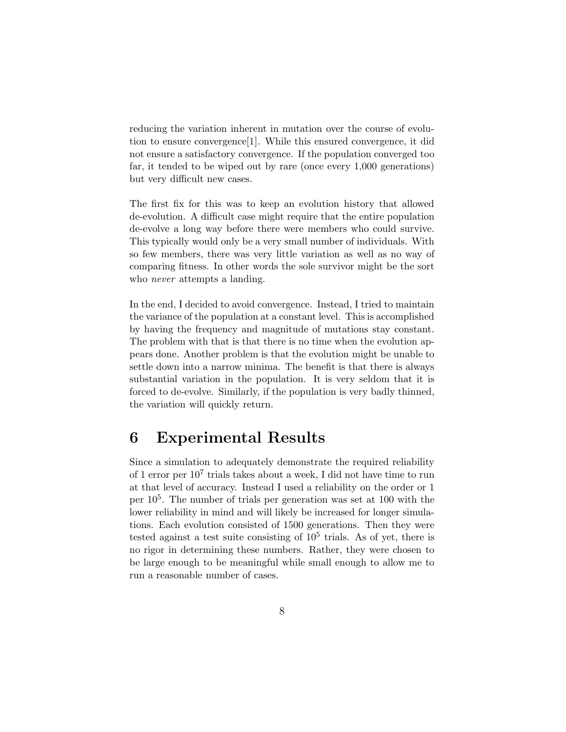reducing the variation inherent in mutation over the course of evolution to ensure convergence[1]. While this ensured convergence, it did not ensure a satisfactory convergence. If the population converged too far, it tended to be wiped out by rare (once every 1,000 generations) but very difficult new cases.

The first fix for this was to keep an evolution history that allowed de-evolution. A difficult case might require that the entire population de-evolve a long way before there were members who could survive. This typically would only be a very small number of individuals. With so few members, there was very little variation as well as no way of comparing fitness. In other words the sole survivor might be the sort who *never* attempts a landing.

In the end, I decided to avoid convergence. Instead, I tried to maintain the variance of the population at a constant level. This is accomplished by having the frequency and magnitude of mutations stay constant. The problem with that is that there is no time when the evolution appears done. Another problem is that the evolution might be unable to settle down into a narrow minima. The benefit is that there is always substantial variation in the population. It is very seldom that it is forced to de-evolve. Similarly, if the population is very badly thinned, the variation will quickly return.

### 6 Experimental Results

Since a simulation to adequately demonstrate the required reliability of 1 error per  $10^7$  trials takes about a week, I did not have time to run at that level of accuracy. Instead I used a reliability on the order or 1 per 10<sup>5</sup> . The number of trials per generation was set at 100 with the lower reliability in mind and will likely be increased for longer simulations. Each evolution consisted of 1500 generations. Then they were tested against a test suite consisting of  $10^5$  trials. As of yet, there is no rigor in determining these numbers. Rather, they were chosen to be large enough to be meaningful while small enough to allow me to run a reasonable number of cases.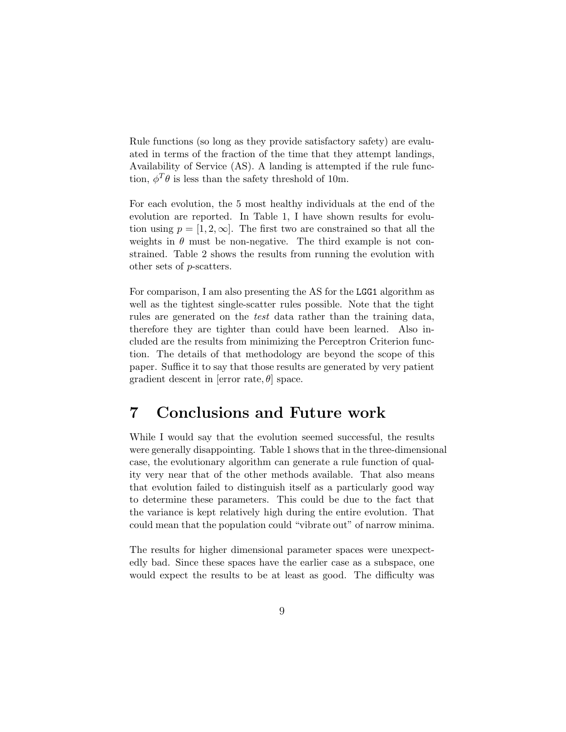Rule functions (so long as they provide satisfactory safety) are evaluated in terms of the fraction of the time that they attempt landings, Availability of Service (AS). A landing is attempted if the rule function,  $\phi^T \theta$  is less than the safety threshold of 10m.

For each evolution, the 5 most healthy individuals at the end of the evolution are reported. In Table 1, I have shown results for evolution using  $p = [1, 2, \infty]$ . The first two are constrained so that all the weights in  $\theta$  must be non-negative. The third example is not constrained. Table 2 shows the results from running the evolution with other sets of p-scatters.

For comparison, I am also presenting the AS for the LGG1 algorithm as well as the tightest single-scatter rules possible. Note that the tight rules are generated on the test data rather than the training data, therefore they are tighter than could have been learned. Also included are the results from minimizing the Perceptron Criterion function. The details of that methodology are beyond the scope of this paper. Suffice it to say that those results are generated by very patient gradient descent in [error rate,  $\theta$ ] space.

### 7 Conclusions and Future work

While I would say that the evolution seemed successful, the results were generally disappointing. Table 1 shows that in the three-dimensional case, the evolutionary algorithm can generate a rule function of quality very near that of the other methods available. That also means that evolution failed to distinguish itself as a particularly good way to determine these parameters. This could be due to the fact that the variance is kept relatively high during the entire evolution. That could mean that the population could "vibrate out" of narrow minima.

The results for higher dimensional parameter spaces were unexpectedly bad. Since these spaces have the earlier case as a subspace, one would expect the results to be at least as good. The difficulty was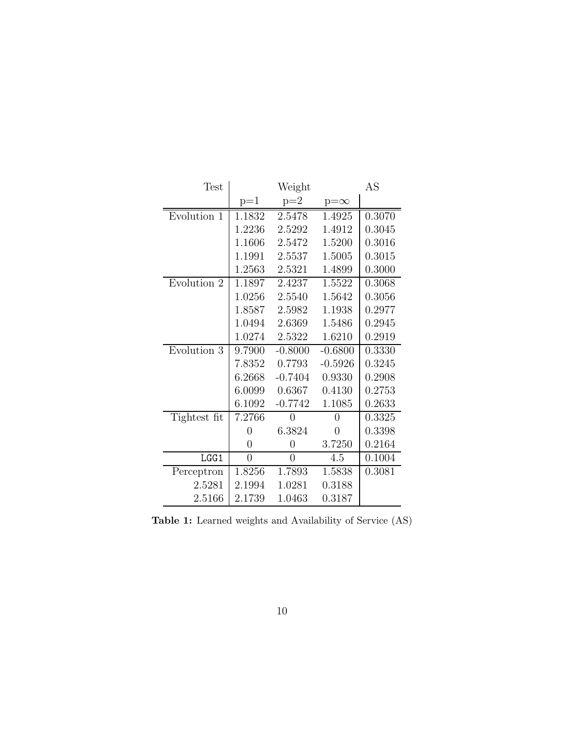| Test         | Weight         |                |                | AS     |
|--------------|----------------|----------------|----------------|--------|
|              | $p=1$          | $p=2$          | $p=\infty$     |        |
| Evolution 1  | 1.1832         | 2.5478         | 1.4925         | 0.3070 |
|              | 1.2236         | 2.5292         | 1.4912         | 0.3045 |
|              | 1.1606         | 2.5472         | 1.5200         | 0.3016 |
|              | 1.1991         | 2.5537         | 1.5005         | 0.3015 |
|              | 1.2563         | 2.5321         | 1.4899         | 0.3000 |
| Evolution 2  | 1.1897         | 2.4237         | 1.5522         | 0.3068 |
|              | 1.0256         | 2.5540         | 1.5642         | 0.3056 |
|              | 1.8587         | 2.5982         | 1.1938         | 0.2977 |
|              | 1.0494         | 2.6369         | 1.5486         | 0.2945 |
|              | 1.0274         | 2.5322         | 1.6210         | 0.2919 |
| Evolution 3  | 9.7900         | $-0.8000$      | $-0.6800$      | 0.3330 |
|              | 7.8352         | 0.7793         | $-0.5926$      | 0.3245 |
|              | 6.2668         | $-0.7404$      | 0.9330         | 0.2908 |
|              | 6.0099         | 0.6367         | 0.4130         | 0.2753 |
|              | 6.1092         | $-0.7742$      | 1.1085         | 0.2633 |
| Tightest fit | 7.2766         | 0              | 0              | 0.3325 |
|              | $\overline{0}$ | 6.3824         | $\overline{0}$ | 0.3398 |
|              | $\overline{0}$ | $\overline{0}$ | 3.7250         | 0.2164 |
| LGG1         | $\overline{0}$ | 0              | 4.5            | 0.1004 |
| Perceptron   | 1.8256         | 1.7893         | 1.5838         | 0.3081 |
| 2.5281       | 2.1994         | 1.0281         | 0.3188         |        |
| 2.5166       | 2.1739         | 1.0463         | 0.3187         |        |

Table 1: Learned weights and Availability of Service (AS)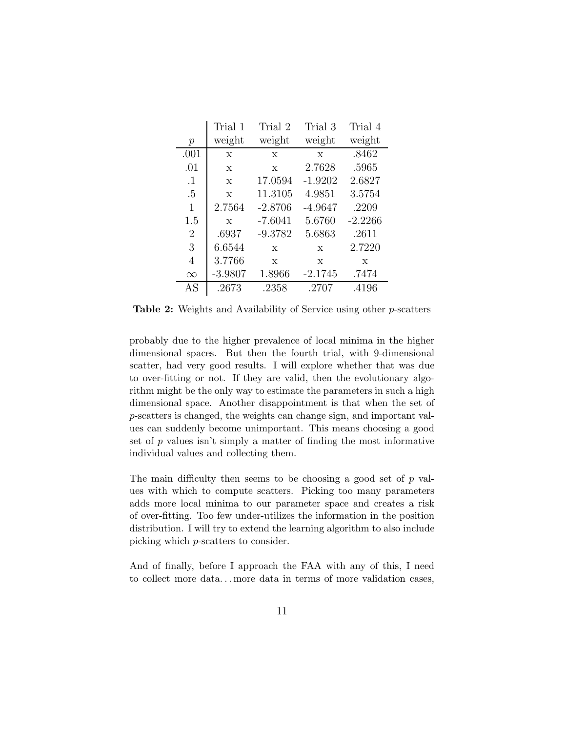|                | Trial 1     | Trial 2     | Trial 3     | Trial 4   |
|----------------|-------------|-------------|-------------|-----------|
| р              | weight      | weight      | weight      | weight    |
| .001           | $\mathbf X$ | X           | X           | .8462     |
| .01            | X           | $\mathbf x$ | 2.7628      | .5965     |
| $\cdot$ 1      | X           | 17.0594     | $-1.9202$   | 2.6827    |
| $.5\,$         | X           | 11.3105     | 4.9851      | 3.5754    |
| 1              | 2.7564      | $-2.8706$   | $-4.9647$   | .2209     |
| 1.5            | $\mathbf x$ | $-7.6041$   | 5.6760      | $-2.2266$ |
| $\overline{2}$ | .6937       | $-9.3782$   | 5.6863      | .2611     |
| 3              | 6.6544      | $\mathbf x$ | $\mathbf x$ | 2.7220    |
| 4              | 3.7766      | X           | X           | Х         |
| $\infty$       | $-3.9807$   | 1.8966      | $-2.1745$   | .7474     |
| AS             | .2673       | .2358       | .2707       | .4196     |

Table 2: Weights and Availability of Service using other p-scatters

probably due to the higher prevalence of local minima in the higher dimensional spaces. But then the fourth trial, with 9-dimensional scatter, had very good results. I will explore whether that was due to over-fitting or not. If they are valid, then the evolutionary algorithm might be the only way to estimate the parameters in such a high dimensional space. Another disappointment is that when the set of p-scatters is changed, the weights can change sign, and important values can suddenly become unimportant. This means choosing a good set of  $p$  values isn't simply a matter of finding the most informative individual values and collecting them.

The main difficulty then seems to be choosing a good set of  $p$  values with which to compute scatters. Picking too many parameters adds more local minima to our parameter space and creates a risk of over-fitting. Too few under-utilizes the information in the position distribution. I will try to extend the learning algorithm to also include picking which p-scatters to consider.

And of finally, before I approach the FAA with any of this, I need to collect more data. . . more data in terms of more validation cases,